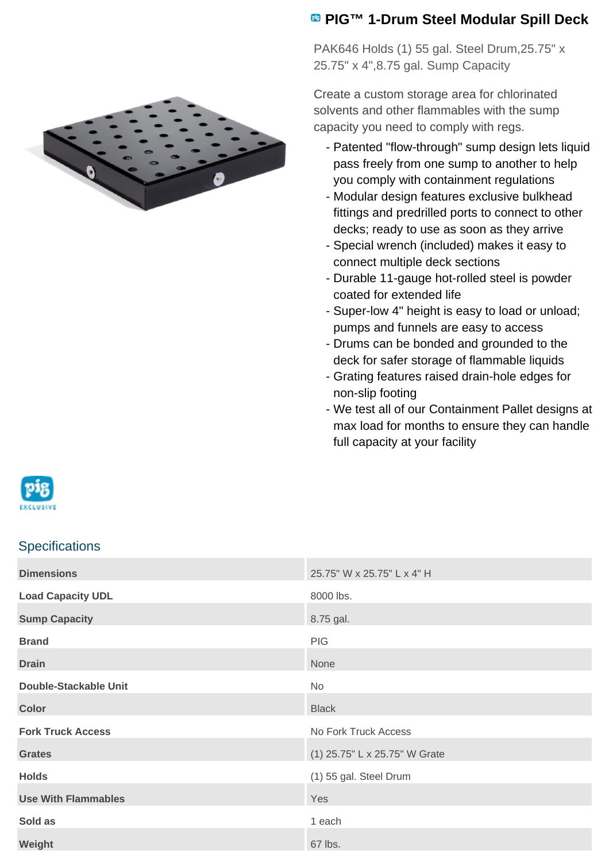

## **PIG™ 1-Drum Steel Modular Spill Deck**

PAK646 Holds (1) 55 gal. Steel Drum,25.75" x 25.75" x 4",8.75 gal. Sump Capacity

Create a custom storage area for chlorinated solvents and other flammables with the sump capacity you need to comply with regs.

- Patented "flow-through" sump design lets liquid pass freely from one sump to another to help you comply with containment regulations
- Modular design features exclusive bulkhead fittings and predrilled ports to connect to other decks; ready to use as soon as they arrive
- Special wrench (included) makes it easy to connect multiple deck sections
- Durable 11-gauge hot-rolled steel is powder coated for extended life
- Super-low 4" height is easy to load or unload; pumps and funnels are easy to access
- Drums can be bonded and grounded to the deck for safer storage of flammable liquids
- Grating features raised drain-hole edges for non-slip footing
- We test all of our Containment Pallet designs at max load for months to ensure they can handle full capacity at your facility



## **Specifications**

| <b>Dimensions</b>            | 25.75" W x 25.75" L x 4" H    |
|------------------------------|-------------------------------|
| <b>Load Capacity UDL</b>     | 8000 lbs.                     |
| <b>Sump Capacity</b>         | 8.75 gal.                     |
| <b>Brand</b>                 | <b>PIG</b>                    |
| <b>Drain</b>                 | None                          |
| <b>Double-Stackable Unit</b> | <b>No</b>                     |
| <b>Color</b>                 | <b>Black</b>                  |
| <b>Fork Truck Access</b>     | No Fork Truck Access          |
| <b>Grates</b>                | (1) 25.75" L x 25.75" W Grate |
| <b>Holds</b>                 | (1) 55 gal. Steel Drum        |
| <b>Use With Flammables</b>   | Yes                           |
| Sold as                      | 1 each                        |
| Weight                       | 67 lbs.                       |